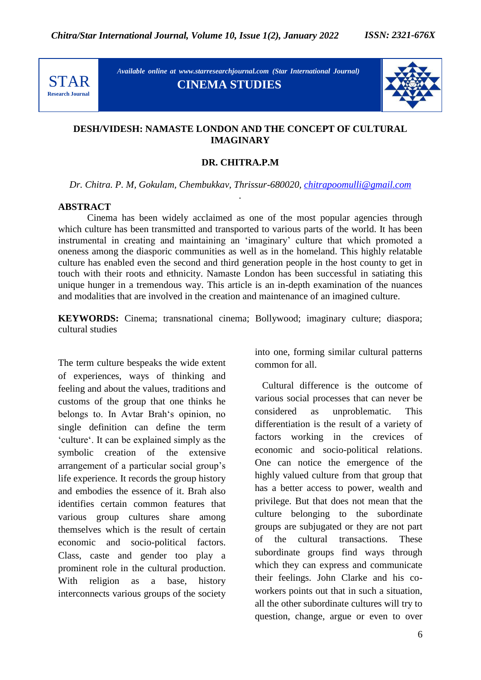

*Available online at www.starresearchjournal.com (Star International Journal)* **CINEMA STUDIES**



## **DESH/VIDESH: NAMASTE LONDON AND THE CONCEPT OF CULTURAL IMAGINARY**

## **DR. CHITRA.P.M**

*Dr. Chitra. P. M, Gokulam, Chembukkav, Thrissur-680020, chitrapoomulli@gmail.com .*

## **ABSTRACT**

Cinema has been widely acclaimed as one of the most popular agencies through which culture has been transmitted and transported to various parts of the world. It has been instrumental in creating and maintaining an "imaginary" culture that which promoted a oneness among the diasporic communities as well as in the homeland. This highly relatable culture has enabled even the second and third generation people in the host county to get in touch with their roots and ethnicity. Namaste London has been successful in satiating this unique hunger in a tremendous way. This article is an in-depth examination of the nuances and modalities that are involved in the creation and maintenance of an imagined culture.

**KEYWORDS:** Cinema; transnational cinema; Bollywood; imaginary culture; diaspora; cultural studies

The term culture bespeaks the wide extent of experiences, ways of thinking and feeling and about the values, traditions and customs of the group that one thinks he belongs to. In Avtar Brah"s opinion, no single definition can define the term "culture". It can be explained simply as the symbolic creation of the extensive arrangement of a particular social group"s life experience. It records the group history and embodies the essence of it. Brah also identifies certain common features that various group cultures share among themselves which is the result of certain economic and socio-political factors. Class, caste and gender too play a prominent role in the cultural production. With religion as a base, history interconnects various groups of the society into one, forming similar cultural patterns common for all.

 Cultural difference is the outcome of various social processes that can never be considered as unproblematic. This differentiation is the result of a variety of factors working in the crevices of economic and socio-political relations. One can notice the emergence of the highly valued culture from that group that has a better access to power, wealth and privilege. But that does not mean that the culture belonging to the subordinate groups are subjugated or they are not part of the cultural transactions. These subordinate groups find ways through which they can express and communicate their feelings. John Clarke and his coworkers points out that in such a situation, all the other subordinate cultures will try to question, change, argue or even to over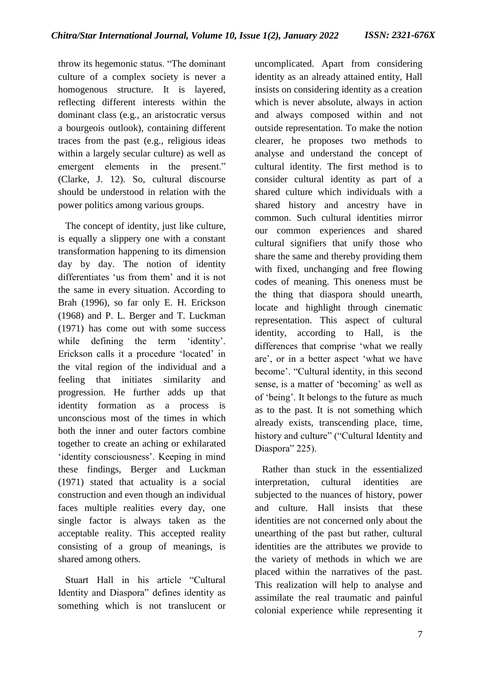throw its hegemonic status. "The dominant culture of a complex society is never a homogenous structure. It is layered, reflecting different interests within the dominant class (e.g., an aristocratic versus a bourgeois outlook), containing different traces from the past (e.g., religious ideas within a largely secular culture) as well as emergent elements in the present." (Clarke, J. 12). So, cultural discourse should be understood in relation with the power politics among various groups.

 The concept of identity, just like culture, is equally a slippery one with a constant transformation happening to its dimension day by day. The notion of identity differentiates "us from them" and it is not the same in every situation. According to Brah (1996), so far only E. H. Erickson (1968) and P. L. Berger and T. Luckman (1971) has come out with some success while defining the term 'identity'. Erickson calls it a procedure 'located' in the vital region of the individual and a feeling that initiates similarity and progression. He further adds up that identity formation as a process is unconscious most of the times in which both the inner and outer factors combine together to create an aching or exhilarated 'identity consciousness'. Keeping in mind these findings, Berger and Luckman (1971) stated that actuality is a social construction and even though an individual faces multiple realities every day, one single factor is always taken as the acceptable reality. This accepted reality consisting of a group of meanings, is shared among others.

 Stuart Hall in his article "Cultural Identity and Diaspora" defines identity as something which is not translucent or uncomplicated. Apart from considering identity as an already attained entity, Hall insists on considering identity as a creation which is never absolute, always in action and always composed within and not outside representation. To make the notion clearer, he proposes two methods to analyse and understand the concept of cultural identity. The first method is to consider cultural identity as part of a shared culture which individuals with a shared history and ancestry have in common. Such cultural identities mirror our common experiences and shared cultural signifiers that unify those who share the same and thereby providing them with fixed, unchanging and free flowing codes of meaning. This oneness must be the thing that diaspora should unearth, locate and highlight through cinematic representation. This aspect of cultural identity, according to Hall, is the differences that comprise "what we really are", or in a better aspect "what we have become". "Cultural identity, in this second sense, is a matter of 'becoming' as well as of "being". It belongs to the future as much as to the past. It is not something which already exists, transcending place, time, history and culture" ("Cultural Identity and Diaspora" 225).

 Rather than stuck in the essentialized interpretation, cultural identities are subjected to the nuances of history, power and culture. Hall insists that these identities are not concerned only about the unearthing of the past but rather, cultural identities are the attributes we provide to the variety of methods in which we are placed within the narratives of the past. This realization will help to analyse and assimilate the real traumatic and painful colonial experience while representing it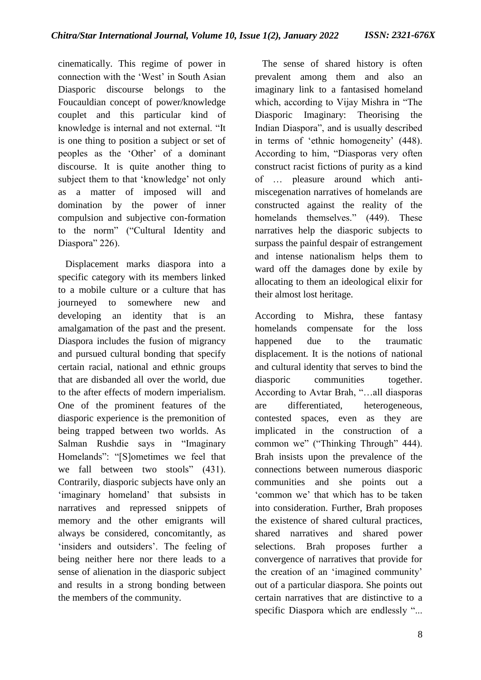cinematically. This regime of power in connection with the "West" in South Asian Diasporic discourse belongs to the Foucauldian concept of power/knowledge couplet and this particular kind of knowledge is internal and not external. "It is one thing to position a subject or set of peoples as the "Other" of a dominant discourse. It is quite another thing to subject them to that 'knowledge' not only as a matter of imposed will and domination by the power of inner compulsion and subjective con-formation to the norm" ("Cultural Identity and Diaspora" 226).

 Displacement marks diaspora into a specific category with its members linked to a mobile culture or a culture that has journeyed to somewhere new and developing an identity that is an amalgamation of the past and the present. Diaspora includes the fusion of migrancy and pursued cultural bonding that specify certain racial, national and ethnic groups that are disbanded all over the world, due to the after effects of modern imperialism. One of the prominent features of the diasporic experience is the premonition of being trapped between two worlds. As Salman Rushdie says in "Imaginary Homelands": "[S]ometimes we feel that we fall between two stools" (431). Contrarily, diasporic subjects have only an 'imaginary homeland' that subsists in narratives and repressed snippets of memory and the other emigrants will always be considered, concomitantly, as 'insiders and outsiders'. The feeling of being neither here nor there leads to a sense of alienation in the diasporic subject and results in a strong bonding between the members of the community.

 The sense of shared history is often prevalent among them and also an imaginary link to a fantasised homeland which, according to Vijay Mishra in "The Diasporic Imaginary: Theorising the Indian Diaspora", and is usually described in terms of "ethnic homogeneity" (448). According to him, "Diasporas very often construct racist fictions of purity as a kind of … pleasure around which antimiscegenation narratives of homelands are constructed against the reality of the homelands themselves." (449). These narratives help the diasporic subjects to surpass the painful despair of estrangement and intense nationalism helps them to ward off the damages done by exile by allocating to them an ideological elixir for their almost lost heritage.

According to Mishra, these fantasy homelands compensate for the loss happened due to the traumatic displacement. It is the notions of national and cultural identity that serves to bind the diasporic communities together. According to Avtar Brah, "…all diasporas are differentiated, heterogeneous, contested spaces, even as they are implicated in the construction of a common we" ("Thinking Through" 444). Brah insists upon the prevalence of the connections between numerous diasporic communities and she points out a "common we" that which has to be taken into consideration. Further, Brah proposes the existence of shared cultural practices, shared narratives and shared power selections. Brah proposes further a convergence of narratives that provide for the creation of an "imagined community" out of a particular diaspora. She points out certain narratives that are distinctive to a specific Diaspora which are endlessly "...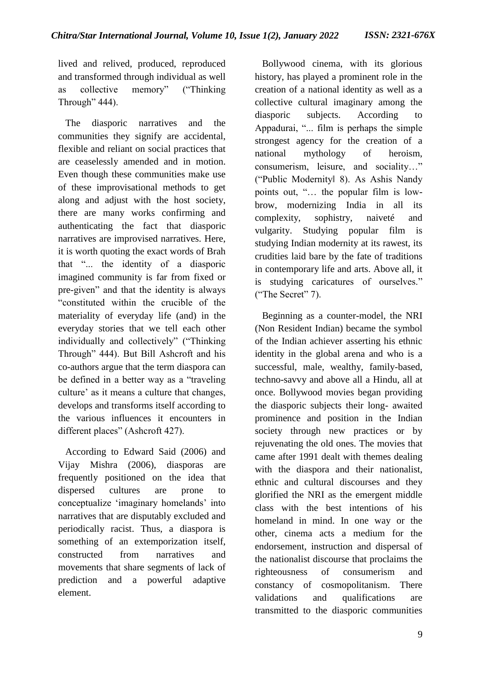lived and relived, produced, reproduced and transformed through individual as well as collective memory" ("Thinking Through" 444).

 The diasporic narratives and the communities they signify are accidental, flexible and reliant on social practices that are ceaselessly amended and in motion. Even though these communities make use of these improvisational methods to get along and adjust with the host society, there are many works confirming and authenticating the fact that diasporic narratives are improvised narratives. Here, it is worth quoting the exact words of Brah that "... the identity of a diasporic imagined community is far from fixed or pre-given" and that the identity is always "constituted within the crucible of the materiality of everyday life (and) in the everyday stories that we tell each other individually and collectively" ("Thinking Through" 444). But Bill Ashcroft and his co-authors argue that the term diaspora can be defined in a better way as a "traveling culture' as it means a culture that changes, develops and transforms itself according to the various influences it encounters in different places" (Ashcroft 427).

 According to Edward Said (2006) and Vijay Mishra (2006), diasporas are frequently positioned on the idea that dispersed cultures are prone to conceptualize "imaginary homelands" into narratives that are disputably excluded and periodically racist. Thus, a diaspora is something of an extemporization itself, constructed from narratives and movements that share segments of lack of prediction and a powerful adaptive element.

 Bollywood cinema, with its glorious history, has played a prominent role in the creation of a national identity as well as a collective cultural imaginary among the diasporic subjects. According to Appadurai, "... film is perhaps the simple strongest agency for the creation of a national mythology of heroism, consumerism, leisure, and sociality…" ("Public Modernity‖ 8). As Ashis Nandy points out, "… the popular film is lowbrow, modernizing India in all its complexity, sophistry, naiveté and vulgarity. Studying popular film is studying Indian modernity at its rawest, its crudities laid bare by the fate of traditions in contemporary life and arts. Above all, it is studying caricatures of ourselves." ("The Secret" 7).

 Beginning as a counter-model, the NRI (Non Resident Indian) became the symbol of the Indian achiever asserting his ethnic identity in the global arena and who is a successful, male, wealthy, family-based, techno-savvy and above all a Hindu, all at once. Bollywood movies began providing the diasporic subjects their long- awaited prominence and position in the Indian society through new practices or by rejuvenating the old ones. The movies that came after 1991 dealt with themes dealing with the diaspora and their nationalist, ethnic and cultural discourses and they glorified the NRI as the emergent middle class with the best intentions of his homeland in mind. In one way or the other, cinema acts a medium for the endorsement, instruction and dispersal of the nationalist discourse that proclaims the righteousness of consumerism and constancy of cosmopolitanism. There validations and qualifications are transmitted to the diasporic communities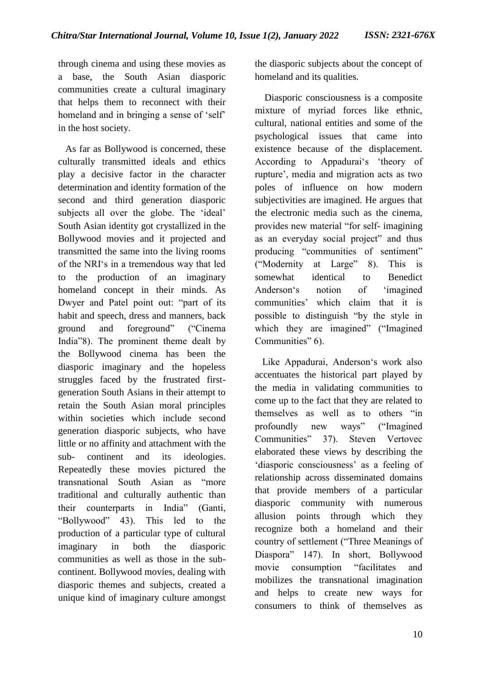through cinema and using these movies as a base, the South Asian diasporic communities create a cultural imaginary that helps them to reconnect with their homeland and in bringing a sense of 'self' in the host society.

 As far as Bollywood is concerned, these culturally transmitted ideals and ethics play a decisive factor in the character determination and identity formation of the second and third generation diasporic subjects all over the globe. The 'ideal' South Asian identity got crystallized in the Bollywood movies and it projected and transmitted the same into the living rooms of the NRI"s in a tremendous way that led to the production of an imaginary homeland concept in their minds. As Dwyer and Patel point out: "part of its habit and speech, dress and manners, back ground and foreground" ("Cinema India"8). The prominent theme dealt by the Bollywood cinema has been the diasporic imaginary and the hopeless struggles faced by the frustrated firstgeneration South Asians in their attempt to retain the South Asian moral principles within societies which include second generation diasporic subjects, who have little or no affinity and attachment with the sub- continent and its ideologies. Repeatedly these movies pictured the transnational South Asian as "more traditional and culturally authentic than their counterparts in India" (Ganti, "Bollywood" 43). This led to the production of a particular type of cultural imaginary in both the diasporic communities as well as those in the subcontinent. Bollywood movies, dealing with diasporic themes and subjects, created a unique kind of imaginary culture amongst the diasporic subjects about the concept of homeland and its qualities.

 Diasporic consciousness is a composite mixture of myriad forces like ethnic, cultural, national entities and some of the psychological issues that came into existence because of the displacement. According to Appadurai's 'theory of rupture", media and migration acts as two poles of influence on how modern subjectivities are imagined. He argues that the electronic media such as the cinema, provides new material "for self- imagining as an everyday social project" and thus producing "communities of sentiment" ("Modernity at Large" 8). This is somewhat identical to Benedict Anderson"s notion of "imagined communities" which claim that it is possible to distinguish "by the style in which they are imagined" ("Imagined" Communities" 6).

 Like Appadurai, Anderson"s work also accentuates the historical part played by the media in validating communities to come up to the fact that they are related to themselves as well as to others "in profoundly new ways" ("Imagined Communities" 37). Steven Vertovec elaborated these views by describing the 'diasporic consciousness' as a feeling of relationship across disseminated domains that provide members of a particular diasporic community with numerous allusion points through which they recognize both a homeland and their country of settlement ("Three Meanings of Diaspora" 147). In short, Bollywood movie consumption "facilitates and mobilizes the transnational imagination and helps to create new ways for consumers to think of themselves as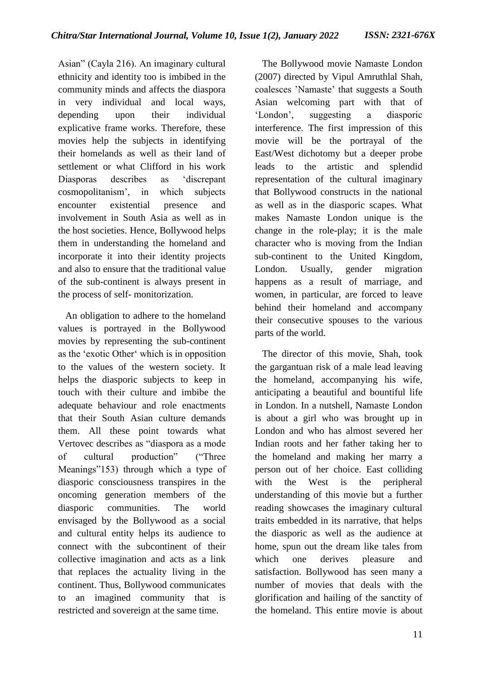Asian" (Cayla 216). An imaginary cultural ethnicity and identity too is imbibed in the community minds and affects the diaspora in very individual and local ways, depending upon their individual explicative frame works. Therefore, these movies help the subjects in identifying their homelands as well as their land of settlement or what Clifford in his work Diasporas describes as "discrepant cosmopolitanism", in which subjects encounter existential presence and involvement in South Asia as well as in the host societies. Hence, Bollywood helps them in understanding the homeland and incorporate it into their identity projects and also to ensure that the traditional value of the sub-continent is always present in the process of self- monitorization.

 An obligation to adhere to the homeland values is portrayed in the Bollywood movies by representing the sub-continent as the "exotic Other" which is in opposition to the values of the western society. It helps the diasporic subjects to keep in touch with their culture and imbibe the adequate behaviour and role enactments that their South Asian culture demands them. All these point towards what Vertovec describes as "diaspora as a mode of cultural production" ("Three Meanings"153) through which a type of diasporic consciousness transpires in the oncoming generation members of the diasporic communities. The world envisaged by the Bollywood as a social and cultural entity helps its audience to connect with the subcontinent of their collective imagination and acts as a link that replaces the actuality living in the continent. Thus, Bollywood communicates to an imagined community that is restricted and sovereign at the same time.

 The Bollywood movie Namaste London (2007) directed by Vipul Amruthlal Shah, coalesces "Namaste" that suggests a South Asian welcoming part with that of "London", suggesting a diasporic interference. The first impression of this movie will be the portrayal of the East/West dichotomy but a deeper probe leads to the artistic and splendid representation of the cultural imaginary that Bollywood constructs in the national as well as in the diasporic scapes. What makes Namaste London unique is the change in the role-play; it is the male character who is moving from the Indian sub-continent to the United Kingdom, London. Usually, gender migration happens as a result of marriage, and women, in particular, are forced to leave behind their homeland and accompany their consecutive spouses to the various parts of the world.

 The director of this movie, Shah, took the gargantuan risk of a male lead leaving the homeland, accompanying his wife, anticipating a beautiful and bountiful life in London. In a nutshell, Namaste London is about a girl who was brought up in London and who has almost severed her Indian roots and her father taking her to the homeland and making her marry a person out of her choice. East colliding with the West is the peripheral understanding of this movie but a further reading showcases the imaginary cultural traits embedded in its narrative, that helps the diasporic as well as the audience at home, spun out the dream like tales from which one derives pleasure and satisfaction. Bollywood has seen many a number of movies that deals with the glorification and hailing of the sanctity of the homeland. This entire movie is about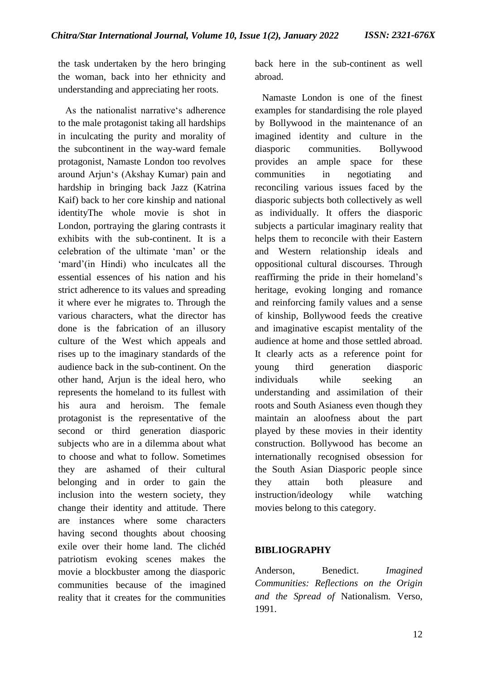the task undertaken by the hero bringing the woman, back into her ethnicity and understanding and appreciating her roots.

As the nationalist narrative's adherence to the male protagonist taking all hardships in inculcating the purity and morality of the subcontinent in the way-ward female protagonist, Namaste London too revolves around Arjun"s (Akshay Kumar) pain and hardship in bringing back Jazz (Katrina Kaif) back to her core kinship and national identityThe whole movie is shot in London, portraying the glaring contrasts it exhibits with the sub-continent. It is a celebration of the ultimate "man" or the 'mard'(in Hindi) who inculcates all the essential essences of his nation and his strict adherence to its values and spreading it where ever he migrates to. Through the various characters, what the director has done is the fabrication of an illusory culture of the West which appeals and rises up to the imaginary standards of the audience back in the sub-continent. On the other hand, Arjun is the ideal hero, who represents the homeland to its fullest with his aura and heroism. The female protagonist is the representative of the second or third generation diasporic subjects who are in a dilemma about what to choose and what to follow. Sometimes they are ashamed of their cultural belonging and in order to gain the inclusion into the western society, they change their identity and attitude. There are instances where some characters having second thoughts about choosing exile over their home land. The clichéd patriotism evoking scenes makes the movie a blockbuster among the diasporic communities because of the imagined reality that it creates for the communities

back here in the sub-continent as well abroad.

 Namaste London is one of the finest examples for standardising the role played by Bollywood in the maintenance of an imagined identity and culture in the diasporic communities. Bollywood provides an ample space for these communities in negotiating and reconciling various issues faced by the diasporic subjects both collectively as well as individually. It offers the diasporic subjects a particular imaginary reality that helps them to reconcile with their Eastern and Western relationship ideals and oppositional cultural discourses. Through reaffirming the pride in their homeland's heritage, evoking longing and romance and reinforcing family values and a sense of kinship, Bollywood feeds the creative and imaginative escapist mentality of the audience at home and those settled abroad. It clearly acts as a reference point for young third generation diasporic individuals while seeking an understanding and assimilation of their roots and South Asianess even though they maintain an aloofness about the part played by these movies in their identity construction. Bollywood has become an internationally recognised obsession for the South Asian Diasporic people since they attain both pleasure and instruction/ideology while watching movies belong to this category.

## **BIBLIOGRAPHY**

Anderson, Benedict. *Imagined Communities: Reflections on the Origin and the Spread of* Nationalism*.* Verso, 1991.